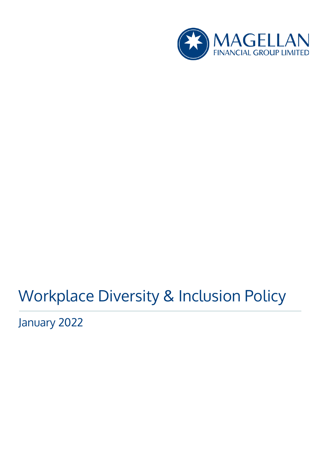

# Workplace Diversity & Inclusion Policy

January 2022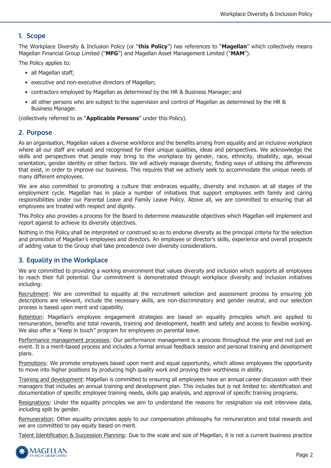### **1. Scope**

The Workplace Diversity & Inclusion Policy (or "**this Policy**") has references to "**Magellan**" which collectively means Magellan Financial Group Limited ("**MFG**") and Magellan Asset Management Limited ("**MAM**").

The Policy applies to:

- all Magellan staff;
- executive and non-executive directors of Magellan;
- contractors employed by Magellan as determined by the HR & Business Manager; and
- all other persons who are subject to the supervision and control of Magellan as determined by the HR & Business Manager.

(collectively referred to as "**Applicable Persons**" under this Policy).

#### **2. Purpose**

As an organisation, Magellan values a diverse workforce and the benefits arising from equality and an inclusive workplace where all our staff are valued and recognised for their unique qualities, ideas and perspectives. We acknowledge the skills and perspectives that people may bring to the workplace by gender, race, ethnicity, disability, age, sexual orientation, gender identity or other factors. We will actively manage diversity, finding ways of utilising the differences that exist, in order to improve our business. This requires that we actively seek to accommodate the unique needs of many different employees.

We are also committed to promoting a culture that embraces equality, diversity and inclusion at all stages of the employment cycle. Magellan has in place a number of initiatives that support employees with family and caring responsibilities under our Parental Leave and Family Leave Policy. Above all, we are committed to ensuring that all employees are treated with respect and dignity.

This Policy also provides a process for the Board to determine measurable objectives which Magellan will implement and report against to achieve its diversity objectives.

Nothing in this Policy shall be interpreted or construed so as to endorse diversity as the principal criteria for the selection and promotion of Magellan's employees and directors. An employee or director's skills, experience and overall prospects of adding value to the Group shall take precedence over diversity considerations.

#### **3. Equality in the Workplace**

We are committed to providing a working environment that values diversity and inclusion which supports all employees to reach their full potential. Our commitment is demonstrated through workplace diversity and inclusion initiatives including:

Recruitment: We are committed to equality at the recruitment selection and assessment process by ensuring job descriptions are relevant, include the necessary skills, are non-discriminatory and gender neutral, and our selection process is based upon merit and capability.

Retention: Magellan's employee engagement strategies are based on equality principles which are applied to remuneration, benefits and total rewards, training and development, health and safety and access to flexible working. We also offer a "Keep in touch" program for employees on parental leave.

Performance management processes: Our performance management is a process throughout the year and not just an event. It is a merit-based process and includes a formal annual feedback session and personal training and development plans.

Promotions: We promote employees based upon merit and equal opportunity, which allows employees the opportunity to move into higher positions by producing high quality work and proving their worthiness in ability.

Training and development: Magellan is committed to ensuring all employees have an annual career discussion with their managers that includes an annual training and development plan. This includes but is not limited to: identification and documentation of specific employee training needs, skills gap analysis, and approval of specific training programs.

Resignations: Under the equality principles we aim to understand the reasons for resignation via exit interview data, including split by gender.

Remuneration: Other equality principles apply to our compensation philosophy for remuneration and total rewards and we are committed to pay equity based on merit.

Talent Identification & Succession Planning: Due to the scale and size of Magellan, it is not a current business practice